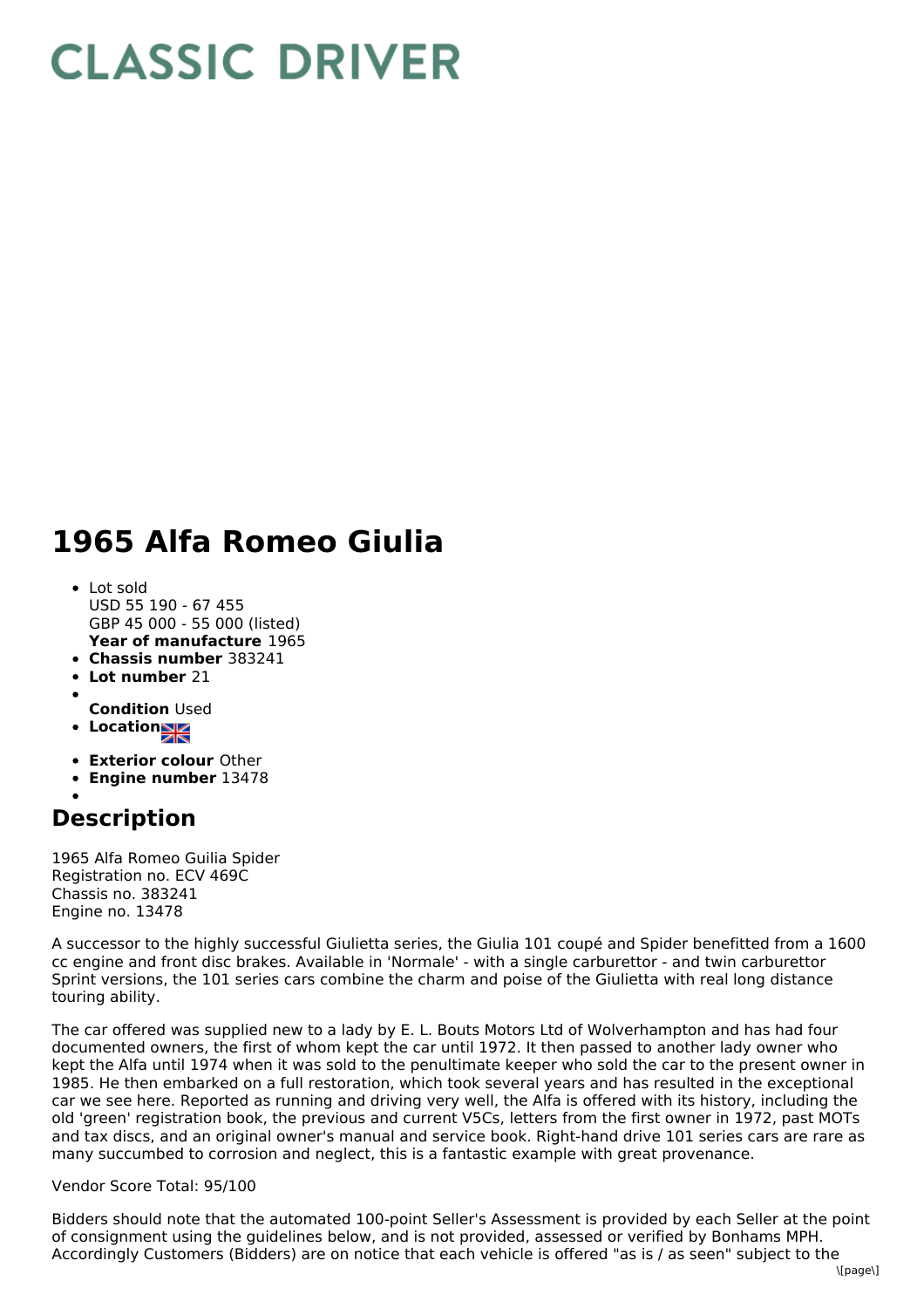## **CLASSIC DRIVER**

## **1965 Alfa Romeo Giulia**

- **Year of manufacture** 1965 Lot sold USD 55 190 - 67 455 GBP 45 000 - 55 000 (listed)
- **Chassis number** 383241
- **Lot number** 21
- **Condition** Used
- **Location**
- 
- **Exterior colour** Other
- **Engine number** 13478

## **Description**

1965 Alfa Romeo Guilia Spider Registration no. ECV 469C Chassis no. 383241 Engine no. 13478

A successor to the highly successful Giulietta series, the Giulia 101 coupé and Spider benefitted from a 1600 cc engine and front disc brakes. Available in 'Normale' - with a single carburettor - and twin carburettor Sprint versions, the 101 series cars combine the charm and poise of the Giulietta with real long distance touring ability.

The car offered was supplied new to a lady by E. L. Bouts Motors Ltd of Wolverhampton and has had four documented owners, the first of whom kept the car until 1972. It then passed to another lady owner who kept the Alfa until 1974 when it was sold to the penultimate keeper who sold the car to the present owner in 1985. He then embarked on a full restoration, which took several years and has resulted in the exceptional car we see here. Reported as running and driving very well, the Alfa is offered with its history, including the old 'green' registration book, the previous and current V5Cs, letters from the first owner in 1972, past MOTs and tax discs, and an original owner's manual and service book. Right-hand drive 101 series cars are rare as many succumbed to corrosion and neglect, this is a fantastic example with great provenance.

## Vendor Score Total: 95/100

Bidders should note that the automated 100-point Seller's Assessment is provided by each Seller at the point of consignment using the guidelines below, and is not provided, assessed or verified by Bonhams MPH. Accordingly Customers (Bidders) are on notice that each vehicle is offered "as is / as seen" subject to the